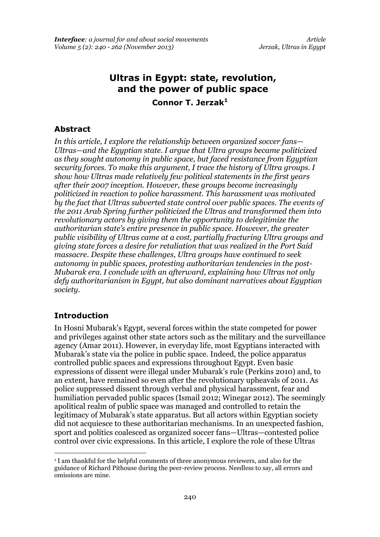# **Ultras in Egypt: state, revolution, and the power of public space Connor T. Jerzak<sup>1</sup>**

#### **Abstract**

*In this article, I explore the relationship between organized soccer fans— Ultras—and the Egyptian state. I argue that Ultra groups became politicized as they sought autonomy in public space, but faced resistance from Egyptian security forces. To make this argument, I trace the history of Ultra groups. I show how Ultras made relatively few political statements in the first years after their 2007 inception. However, these groups become increasingly politicized in reaction to police harassment. This harassment was motivated by the fact that Ultras subverted state control over public spaces. The events of the 2011 Arab Spring further politicized the Ultras and transformed them into revolutionary actors by giving them the opportunity to delegitimize the authoritarian state's entire presence in public space. However, the greater public visibility of Ultras came at a cost, partially fracturing Ultra groups and giving state forces a desire for retaliation that was realized in the Port Said massacre. Despite these challenges, Ultra groups have continued to seek autonomy in public spaces, protesting authoritarian tendencies in the post-Mubarak era. I conclude with an afterward, explaining how Ultras not only defy authoritarianism in Egypt, but also dominant narratives about Egyptian society.* 

### **Introduction**

.

In Hosni Mubarak's Egypt, several forces within the state competed for power and privileges against other state actors such as the military and the surveillance agency (Amar 2011). However, in everyday life, most Egyptians interacted with Mubarak's state via the police in public space. Indeed, the police apparatus controlled public spaces and expressions throughout Egypt. Even basic expressions of dissent were illegal under Mubarak's rule (Perkins 2010) and, to an extent, have remained so even after the revolutionary upheavals of 2011. As police suppressed dissent through verbal and physical harassment, fear and humiliation pervaded public spaces (Ismail 2012; Winegar 2012). The seemingly apolitical realm of public space was managed and controlled to retain the legitimacy of Mubarak's state apparatus. But all actors within Egyptian society did not acquiesce to these authoritarian mechanisms. In an unexpected fashion, sport and politics coalesced as organized soccer fans—Ultras—contested police control over civic expressions. In this article, I explore the role of these Ultras

<sup>1</sup> I am thankful for the helpful comments of three anonymous reviewers, and also for the guidance of Richard Pithouse during the peer-review process. Needless to say, all errors and omissions are mine.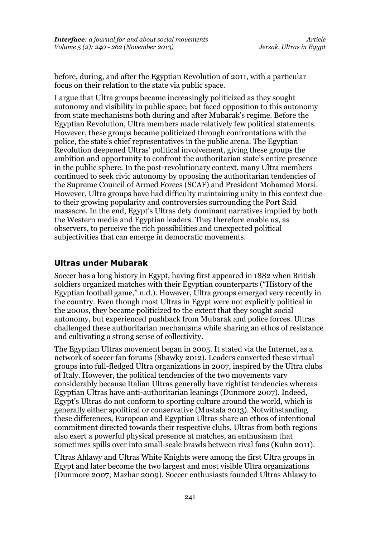before, during, and after the Egyptian Revolution of 2011, with a particular focus on their relation to the state via public space.

I argue that Ultra groups became increasingly politicized as they sought autonomy and visibility in public space, but faced opposition to this autonomy from state mechanisms both during and after Mubarak's regime. Before the Egyptian Revolution, Ultra members made relatively few political statements. However, these groups became politicized through confrontations with the police, the state's chief representatives in the public arena. The Egyptian Revolution deepened Ultras' political involvement, giving these groups the ambition and opportunity to confront the authoritarian state's entire presence in the public sphere. In the post-revolutionary context, many Ultra members continued to seek civic autonomy by opposing the authoritarian tendencies of the Supreme Council of Armed Forces (SCAF) and President Mohamed Morsi. However, Ultra groups have had difficulty maintaining unity in this context due to their growing popularity and controversies surrounding the Port Said massacre. In the end, Egypt's Ultras defy dominant narratives implied by both the Western media and Egyptian leaders. They therefore enable us, as observers, to perceive the rich possibilities and unexpected political subjectivities that can emerge in democratic movements.

## **Ultras under Mubarak**

Soccer has a long history in Egypt, having first appeared in 1882 when British soldiers organized matches with their Egyptian counterparts ("History of the Egyptian football game," n.d.). However, Ultra groups emerged very recently in the country. Even though most Ultras in Egypt were not explicitly political in the 2000s, they became politicized to the extent that they sought social autonomy, but experienced pushback from Mubarak and police forces. Ultras challenged these authoritarian mechanisms while sharing an ethos of resistance and cultivating a strong sense of collectivity.

The Egyptian Ultras movement began in 2005. It stated via the Internet, as a network of soccer fan forums (Shawky 2012). Leaders converted these virtual groups into full-fledged Ultra organizations in 2007, inspired by the Ultra clubs of Italy. However, the political tendencies of the two movements vary considerably because Italian Ultras generally have rightist tendencies whereas Egyptian Ultras have anti-authoritarian leanings (Dunmore 2007). Indeed, Egypt's Ultras do not conform to sporting culture around the world, which is generally either apolitical or conservative (Mustafa 2013). Notwithstanding these differences, European and Egyptian Ultras share an ethos of intentional commitment directed towards their respective clubs. Ultras from both regions also exert a powerful physical presence at matches, an enthusiasm that sometimes spills over into small-scale brawls between rival fans (Kuhn 2011).

Ultras Ahlawy and Ultras White Knights were among the first Ultra groups in Egypt and later become the two largest and most visible Ultra organizations (Dunmore 2007; Mazhar 2009). Soccer enthusiasts founded Ultras Ahlawy to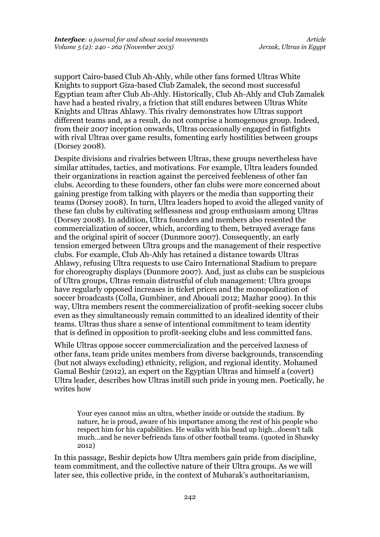support Cairo-based Club Ah-Ahly, while other fans formed Ultras White Knights to support Giza-based Club Zamalek, the second most successful Egyptian team after Club Ah-Ahly. Historically, Club Ah-Ahly and Club Zamalek have had a heated rivalry, a friction that still endures between Ultras White Knights and Ultras Ahlawy. This rivalry demonstrates how Ultras support different teams and, as a result, do not comprise a homogenous group. Indeed, from their 2007 inception onwards, Ultras occasionally engaged in fistfights with rival Ultras over game results, fomenting early hostilities between groups (Dorsey 2008).

Despite divisions and rivalries between Ultras, these groups nevertheless have similar attitudes, tactics, and motivations. For example, Ultra leaders founded their organizations in reaction against the perceived feebleness of other fan clubs. According to these founders, other fan clubs were more concerned about gaining prestige from talking with players or the media than supporting their teams (Dorsey 2008). In turn, Ultra leaders hoped to avoid the alleged vanity of these fan clubs by cultivating selflessness and group enthusiasm among Ultras (Dorsey 2008). In addition, Ultra founders and members also resented the commercialization of soccer, which, according to them, betrayed average fans and the original spirit of soccer (Dunmore 2007). Consequently, an early tension emerged between Ultra groups and the management of their respective clubs. For example, Club Ah-Ahly has retained a distance towards Ultras Ahlawy, refusing Ultra requests to use Cairo International Stadium to prepare for choreography displays (Dunmore 2007). And, just as clubs can be suspicious of Ultra groups, Ultras remain distrustful of club management: Ultra groups have regularly opposed increases in ticket prices and the monopolization of soccer broadcasts (Colla, Gumbiner, and Abouali 2012; Mazhar 2009). In this way, Ultra members resent the commercialization of profit-seeking soccer clubs even as they simultaneously remain committed to an idealized identity of their teams. Ultras thus share a sense of intentional commitment to team identity that is defined in opposition to profit-seeking clubs and less committed fans.

While Ultras oppose soccer commercialization and the perceived laxness of other fans, team pride unites members from diverse backgrounds, transcending (but not always excluding) ethnicity, religion, and regional identity. Mohamed Gamal Beshir (2012), an expert on the Egyptian Ultras and himself a (covert) Ultra leader, describes how Ultras instill such pride in young men. Poetically, he writes how

Your eyes cannot miss an ultra, whether inside or outside the stadium. By nature, he is proud, aware of his importance among the rest of his people who respect him for his capabilities. He walks with his head up high…doesn't talk much…and he never befriends fans of other football teams. (quoted in Shawky 2012)

In this passage, Beshir depicts how Ultra members gain pride from discipline, team commitment, and the collective nature of their Ultra groups. As we will later see, this collective pride, in the context of Mubarak's authoritarianism,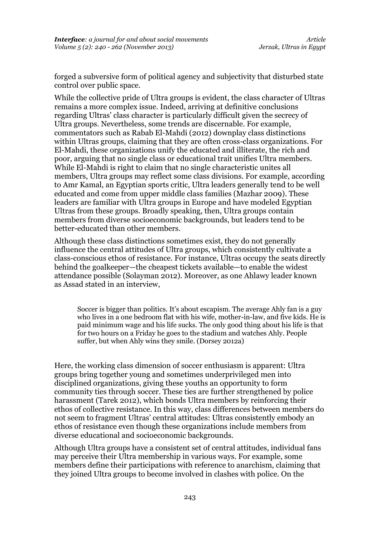forged a subversive form of political agency and subjectivity that disturbed state control over public space.

While the collective pride of Ultra groups is evident, the class character of Ultras remains a more complex issue. Indeed, arriving at definitive conclusions regarding Ultras' class character is particularly difficult given the secrecy of Ultra groups. Nevertheless, some trends are discernable. For example, commentators such as Rabab El-Mahdi (2012) downplay class distinctions within Ultras groups, claiming that they are often cross-class organizations. For El-Mahdi, these organizations unify the educated and illiterate, the rich and poor, arguing that no single class or educational trait unifies Ultra members. While El-Mahdi is right to claim that no single characteristic unites all members, Ultra groups may reflect some class divisions. For example, according to Amr Kamal, an Egyptian sports critic, Ultra leaders generally tend to be well educated and come from upper middle class families (Mazhar 2009). These leaders are familiar with Ultra groups in Europe and have modeled Egyptian Ultras from these groups. Broadly speaking, then, Ultra groups contain members from diverse socioeconomic backgrounds, but leaders tend to be better-educated than other members.

Although these class distinctions sometimes exist, they do not generally influence the central attitudes of Ultra groups, which consistently cultivate a class-conscious ethos of resistance. For instance, Ultras occupy the seats directly behind the goalkeeper—the cheapest tickets available—to enable the widest attendance possible (Solayman 2012). Moreover, as one Ahlawy leader known as Assad stated in an interview,

Soccer is bigger than politics. It's about escapism. The average Ahly fan is a guy who lives in a one bedroom flat with his wife, mother-in-law, and five kids. He is paid minimum wage and his life sucks. The only good thing about his life is that for two hours on a Friday he goes to the stadium and watches Ahly. People suffer, but when Ahly wins they smile. (Dorsey 2012a)

Here, the working class dimension of soccer enthusiasm is apparent: Ultra groups bring together young and sometimes underprivileged men into disciplined organizations, giving these youths an opportunity to form community ties through soccer. These ties are further strengthened by police harassment (Tarek 2012), which bonds Ultra members by reinforcing their ethos of collective resistance. In this way, class differences between members do not seem to fragment Ultras' central attitudes: Ultras consistently embody an ethos of resistance even though these organizations include members from diverse educational and socioeconomic backgrounds.

Although Ultra groups have a consistent set of central attitudes, individual fans may perceive their Ultra membership in various ways. For example, some members define their participations with reference to anarchism, claiming that they joined Ultra groups to become involved in clashes with police. On the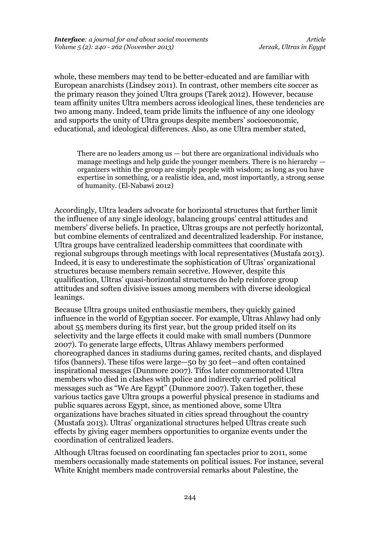whole, these members may tend to be better-educated and are familiar with European anarchists (Lindsey 2011). In contrast, other members cite soccer as the primary reason they joined Ultra groups (Tarek 2012). However, because team affinity unites Ultra members across ideological lines, these tendencies are two among many. Indeed, team pride limits the influence of any one ideology and supports the unity of Ultra groups despite members' socioeconomic, educational, and ideological differences. Also, as one Ultra member stated,

There are no leaders among us — but there are organizational individuals who manage meetings and help guide the younger members. There is no hierarchy organizers within the group are simply people with wisdom; as long as you have expertise in something, or a realistic idea, and, most importantly, a strong sense of humanity. (El-Nabawi 2012)

Accordingly, Ultra leaders advocate for horizontal structures that further limit the influence of any single ideology, balancing groups' central attitudes and members' diverse beliefs. In practice, Ultras groups are not perfectly horizontal, but combine elements of centralized and decentralized leadership. For instance, Ultra groups have centralized leadership committees that coordinate with regional subgroups through meetings with local representatives (Mustafa 2013). Indeed, it is easy to underestimate the sophistication of Ultras' organizational structures because members remain secretive. However, despite this qualification, Ultras' quasi-horizontal structures do help reinforce group attitudes and soften divisive issues among members with diverse ideological leanings.

Because Ultra groups united enthusiastic members, they quickly gained influence in the world of Egyptian soccer. For example, Ultras Ahlawy had only about 55 members during its first year, but the group prided itself on its selectivity and the large effects it could make with small numbers (Dunmore 2007). To generate large effects, Ultras Ahlawy members performed choreographed dances in stadiums during games, recited chants, and displayed tifos (banners). These tifos were large—50 by 30 feet—and often contained inspirational messages (Dunmore 2007). Tifos later commemorated Ultra members who died in clashes with police and indirectly carried political messages such as "We Are Egypt" (Dunmore 2007). Taken together, these various tactics gave Ultra groups a powerful physical presence in stadiums and public squares across Egypt, since, as mentioned above, some Ultra organizations have braches situated in cities spread throughout the country (Mustafa 2013). Ultras' organizational structures helped Ultras create such effects by giving eager members opportunities to organize events under the coordination of centralized leaders.

Although Ultras focused on coordinating fan spectacles prior to 2011, some members occasionally made statements on political issues. For instance, several White Knight members made controversial remarks about Palestine, the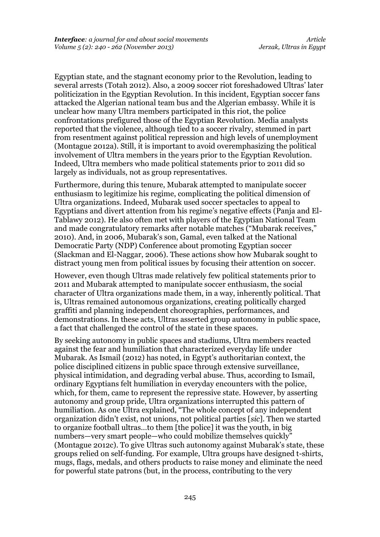Egyptian state, and the stagnant economy prior to the Revolution, leading to several arrests (Totah 2012). Also, a 2009 soccer riot foreshadowed Ultras' later politicization in the Egyptian Revolution. In this incident, Egyptian soccer fans attacked the Algerian national team bus and the Algerian embassy. While it is unclear how many Ultra members participated in this riot, the police confrontations prefigured those of the Egyptian Revolution. Media analysts reported that the violence, although tied to a soccer rivalry, stemmed in part from resentment against political repression and high levels of unemployment (Montague 2012a). Still, it is important to avoid overemphasizing the political involvement of Ultra members in the years prior to the Egyptian Revolution. Indeed, Ultra members who made political statements prior to 2011 did so largely as individuals, not as group representatives.

Furthermore, during this tenure, Mubarak attempted to manipulate soccer enthusiasm to legitimize his regime, complicating the political dimension of Ultra organizations. Indeed, Mubarak used soccer spectacles to appeal to Egyptians and divert attention from his regime's negative effects (Panja and El-Tablawy 2012). He also often met with players of the Egyptian National Team and made congratulatory remarks after notable matches ("Mubarak receives," 2010). And, in 2006, Mubarak's son, Gamal, even talked at the National Democratic Party (NDP) Conference about promoting Egyptian soccer (Slackman and El-Naggar, 2006). These actions show how Mubarak sought to distract young men from political issues by focusing their attention on soccer.

However, even though Ultras made relatively few political statements prior to 2011 and Mubarak attempted to manipulate soccer enthusiasm, the social character of Ultra organizations made them, in a way, inherently political. That is, Ultras remained autonomous organizations, creating politically charged graffiti and planning independent choreographies, performances, and demonstrations. In these acts, Ultras asserted group autonomy in public space, a fact that challenged the control of the state in these spaces.

By seeking autonomy in public spaces and stadiums, Ultra members reacted against the fear and humiliation that characterized everyday life under Mubarak. As Ismail (2012) has noted, in Egypt's authoritarian context, the police disciplined citizens in public space through extensive surveillance, physical intimidation, and degrading verbal abuse. Thus, according to Ismail, ordinary Egyptians felt humiliation in everyday encounters with the police, which, for them, came to represent the repressive state. However, by asserting autonomy and group pride, Ultra organizations interrupted this pattern of humiliation. As one Ultra explained, "The whole concept of any independent organization didn't exist, not unions, not political parties [*sic*]. Then we started to organize football ultras…to them [the police] it was the youth, in big numbers—very smart people—who could mobilize themselves quickly" (Montague 2012c). To give Ultras such autonomy against Mubarak's state, these groups relied on self-funding. For example, Ultra groups have designed t-shirts, mugs, flags, medals, and others products to raise money and eliminate the need for powerful state patrons (but, in the process, contributing to the very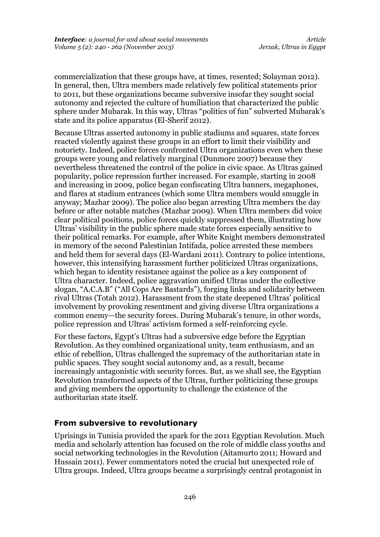commercialization that these groups have, at times, resented; Solayman 2012). In general, then, Ultra members made relatively few political statements prior to 2011, but these organizations became subversive insofar they sought social autonomy and rejected the culture of humiliation that characterized the public sphere under Mubarak. In this way, Ultras "politics of fun" subverted Mubarak's state and its police apparatus (El-Sherif 2012).

Because Ultras asserted autonomy in public stadiums and squares, state forces reacted violently against these groups in an effort to limit their visibility and notoriety. Indeed, police forces confronted Ultra organizations even when these groups were young and relatively marginal (Dunmore 2007) because they nevertheless threatened the control of the police in civic space. As Ultras gained popularity, police repression further increased. For example, starting in 2008 and increasing in 2009, police began confiscating Ultra banners, megaphones, and flares at stadium entrances (which some Ultra members would smuggle in anyway; Mazhar 2009). The police also began arresting Ultra members the day before or after notable matches (Mazhar 2009). When Ultra members did voice clear political positions, police forces quickly suppressed them, illustrating how Ultras' visibility in the public sphere made state forces especially sensitive to their political remarks. For example, after White Knight members demonstrated in memory of the second Palestinian Intifada, police arrested these members and held them for several days (El-Wardani 2011). Contrary to police intentions, however, this intensifying harassment further politicized Ultras organizations, which began to identity resistance against the police as a key component of Ultra character. Indeed, police aggravation unified Ultras under the collective slogan, "A.C.A.B" ("All Cops Are Bastards"), forging links and solidarity between rival Ultras (Totah 2012). Harassment from the state deepened Ultras' political involvement by provoking resentment and giving diverse Ultra organizations a common enemy—the security forces. During Mubarak's tenure, in other words, police repression and Ultras' activism formed a self-reinforcing cycle.

For these factors, Egypt's Ultras had a subversive edge before the Egyptian Revolution. As they combined organizational unity, team enthusiasm, and an ethic of rebellion, Ultras challenged the supremacy of the authoritarian state in public spaces. They sought social autonomy and, as a result, became increasingly antagonistic with security forces. But, as we shall see, the Egyptian Revolution transformed aspects of the Ultras, further politicizing these groups and giving members the opportunity to challenge the existence of the authoritarian state itself.

### **From subversive to revolutionary**

Uprisings in Tunisia provided the spark for the 2011 Egyptian Revolution. Much media and scholarly attention has focused on the role of middle class youths and social networking technologies in the Revolution (Aitamurto 2011; Howard and Hussain 2011). Fewer commentators noted the crucial but unexpected role of Ultra groups. Indeed, Ultra groups became a surprisingly central protagonist in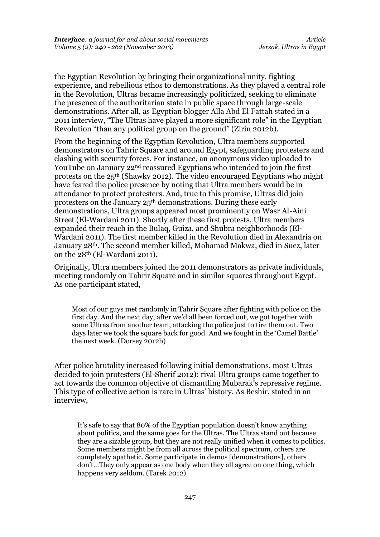the Egyptian Revolution by bringing their organizational unity, fighting experience, and rebellious ethos to demonstrations. As they played a central role in the Revolution, Ultras became increasingly politicized, seeking to eliminate the presence of the authoritarian state in public space through large-scale demonstrations. After all, as Egyptian blogger Alla Abd El Fattah stated in a 2011 interview, "The Ultras have played a more significant role" in the Egyptian Revolution "than any political group on the ground" (Zirin 2012b).

From the beginning of the Egyptian Revolution, Ultra members supported demonstrators on Tahrir Square and around Egypt, safeguarding protesters and clashing with security forces. For instance, an anonymous video uploaded to YouTube on January 22<sup>nd</sup> reassured Egyptians who intended to join the first protests on the 25th (Shawky 2012). The video encouraged Egyptians who might have feared the police presence by noting that Ultra members would be in attendance to protect protesters. And, true to this promise, Ultras did join protesters on the January 25th demonstrations. During these early demonstrations, Ultra groups appeared most prominently on Wasr Al-Aini Street (El-Wardani 2011). Shortly after these first protests, Ultra members expanded their reach in the Bulaq, Guiza, and Shubra neighborhoods (El-Wardani 2011). The first member killed in the Revolution died in Alexandria on January 28th. The second member killed, Mohamad Makwa, died in Suez, later on the 28th (El-Wardani 2011).

Originally, Ultra members joined the 2011 demonstrators as private individuals, meeting randomly on Tahrir Square and in similar squares throughout Egypt. As one participant stated,

Most of our guys met randomly in Tahrir Square after fighting with police on the first day. And the next day, after we'd all been forced out, we got together with some Ultras from another team, attacking the police just to tire them out. Two days later we took the square back for good. And we fought in the 'Camel Battle' the next week. (Dorsey 2012b)

After police brutality increased following initial demonstrations, most Ultras decided to join protesters (El-Sherif 2012): rival Ultra groups came together to act towards the common objective of dismantling Mubarak's repressive regime. This type of collective action is rare in Ultras' history. As Beshir, stated in an interview,

It's safe to say that 80% of the Egyptian population doesn't know anything about politics, and the same goes for the Ultras. The Ultras stand out because they are a sizable group, but they are not really unified when it comes to politics. Some members might be from all across the political spectrum, others are completely apathetic. Some participate in demos [demonstrations], others don't…They only appear as one body when they all agree on one thing, which happens very seldom. (Tarek 2012)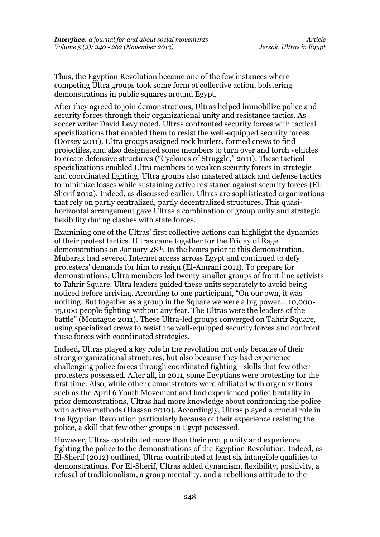Thus, the Egyptian Revolution became one of the few instances where competing Ultra groups took some form of collective action, bolstering demonstrations in public squares around Egypt.

After they agreed to join demonstrations, Ultras helped immobilize police and security forces through their organizational unity and resistance tactics. As soccer writer David Levy noted, Ultras confronted security forces with tactical specializations that enabled them to resist the well-equipped security forces (Dorsey 2011). Ultra groups assigned rock hurlers, formed crews to find projectiles, and also designated some members to turn over and torch vehicles to create defensive structures ("Cyclones of Struggle," 2011). These tactical specializations enabled Ultra members to weaken security forces in strategic and coordinated fighting. Ultra groups also mastered attack and defense tactics to minimize losses while sustaining active resistance against security forces (El-Sherif 2012). Indeed, as discussed earlier, Ultras are sophisticated organizations that rely on partly centralized, partly decentralized structures. This quasihorizontal arrangement gave Ultras a combination of group unity and strategic flexibility during clashes with state forces.

Examining one of the Ultras' first collective actions can highlight the dynamics of their protest tactics. Ultras came together for the Friday of Rage demonstrations on January 28th. In the hours prior to this demonstration, Mubarak had severed Internet access across Egypt and continued to defy protesters' demands for him to resign (El-Amrani 2011). To prepare for demonstrations, Ultra members led twenty smaller groups of front-line activists to Tahrir Square. Ultra leaders guided these units separately to avoid being noticed before arriving. According to one participant, "On our own, it was nothing. But together as a group in the Square we were a big power… 10,000- 15,000 people fighting without any fear. The Ultras were the leaders of the battle" (Montague 2011). These Ultra-led groups converged on Tahrir Square, using specialized crews to resist the well-equipped security forces and confront these forces with coordinated strategies.

Indeed, Ultras played a key role in the revolution not only because of their strong organizational structures, but also because they had experience challenging police forces through coordinated fighting—skills that few other protesters possessed. After all, in 2011, some Egyptians were protesting for the first time. Also, while other demonstrators were affiliated with organizations such as the April 6 Youth Movement and had experienced police brutality in prior demonstrations, Ultras had more knowledge about confronting the police with active methods (Hassan 2010). Accordingly, Ultras played a crucial role in the Egyptian Revolution particularly because of their experience resisting the police, a skill that few other groups in Egypt possessed.

However, Ultras contributed more than their group unity and experience fighting the police to the demonstrations of the Egyptian Revolution. Indeed, as El-Sherif (2012) outlined, Ultras contributed at least six intangible qualities to demonstrations. For El-Sherif, Ultras added dynamism, flexibility, positivity, a refusal of traditionalism, a group mentality, and a rebellious attitude to the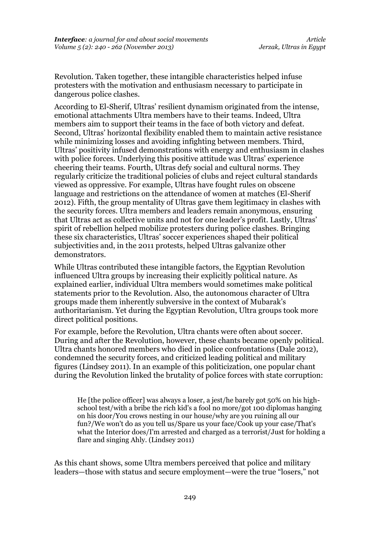Revolution. Taken together, these intangible characteristics helped infuse protesters with the motivation and enthusiasm necessary to participate in dangerous police clashes.

According to El-Sherif, Ultras' resilient dynamism originated from the intense, emotional attachments Ultra members have to their teams. Indeed, Ultra members aim to support their teams in the face of both victory and defeat. Second, Ultras' horizontal flexibility enabled them to maintain active resistance while minimizing losses and avoiding infighting between members. Third, Ultras' positivity infused demonstrations with energy and enthusiasm in clashes with police forces. Underlying this positive attitude was Ultras' experience cheering their teams. Fourth, Ultras defy social and cultural norms. They regularly criticize the traditional policies of clubs and reject cultural standards viewed as oppressive. For example, Ultras have fought rules on obscene language and restrictions on the attendance of women at matches (El-Sherif 2012). Fifth, the group mentality of Ultras gave them legitimacy in clashes with the security forces. Ultra members and leaders remain anonymous, ensuring that Ultras act as collective units and not for one leader's profit. Lastly, Ultras' spirit of rebellion helped mobilize protesters during police clashes. Bringing these six characteristics, Ultras' soccer experiences shaped their political subjectivities and, in the 2011 protests, helped Ultras galvanize other demonstrators.

While Ultras contributed these intangible factors, the Egyptian Revolution influenced Ultra groups by increasing their explicitly political nature. As explained earlier, individual Ultra members would sometimes make political statements prior to the Revolution. Also, the autonomous character of Ultra groups made them inherently subversive in the context of Mubarak's authoritarianism. Yet during the Egyptian Revolution, Ultra groups took more direct political positions.

For example, before the Revolution, Ultra chants were often about soccer. During and after the Revolution, however, these chants became openly political. Ultra chants honored members who died in police confrontations (Dale 2012), condemned the security forces, and criticized leading political and military figures (Lindsey 2011). In an example of this politicization, one popular chant during the Revolution linked the brutality of police forces with state corruption:

He [the police officer] was always a loser, a jest/he barely got 50% on his highschool test/with a bribe the rich kid's a fool no more/got 100 diplomas hanging on his door/You crows nesting in our house/why are you ruining all our fun?/We won't do as you tell us/Spare us your face/Cook up your case/That's what the Interior does/I'm arrested and charged as a terrorist/Just for holding a flare and singing Ahly. (Lindsey 2011)

As this chant shows, some Ultra members perceived that police and military leaders—those with status and secure employment—were the true "losers," not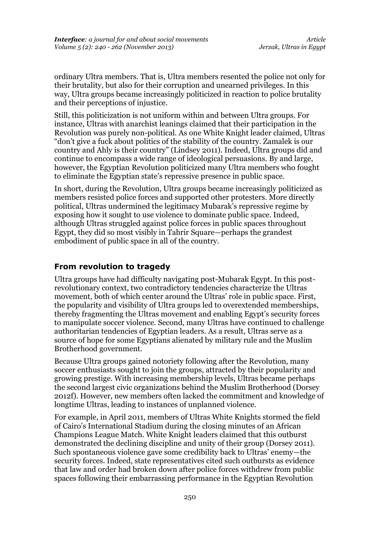ordinary Ultra members. That is, Ultra members resented the police not only for their brutality, but also for their corruption and unearned privileges. In this way, Ultra groups became increasingly politicized in reaction to police brutality and their perceptions of injustice.

Still, this politicization is not uniform within and between Ultra groups. For instance, Ultras with anarchist leanings claimed that their participation in the Revolution was purely non-political. As one White Knight leader claimed, Ultras "don't give a fuck about politics of the stability of the country. Zamalek is our country and Ahly is their country" (Lindsey 2011). Indeed, Ultra groups did and continue to encompass a wide range of ideological persuasions. By and large, however, the Egyptian Revolution politicized many Ultra members who fought to eliminate the Egyptian state's repressive presence in public space.

In short, during the Revolution, Ultra groups became increasingly politicized as members resisted police forces and supported other protesters. More directly political, Ultras undermined the legitimacy Mubarak's repressive regime by exposing how it sought to use violence to dominate public space. Indeed, although Ultras struggled against police forces in public spaces throughout Egypt, they did so most visibly in Tahrir Square—perhaps the grandest embodiment of public space in all of the country.

## **From revolution to tragedy**

Ultra groups have had difficulty navigating post-Mubarak Egypt. In this postrevolutionary context, two contradictory tendencies characterize the Ultras movement, both of which center around the Ultras' role in public space. First, the popularity and visibility of Ultra groups led to overextended memberships, thereby fragmenting the Ultras movement and enabling Egypt's security forces to manipulate soccer violence. Second, many Ultras have continued to challenge authoritarian tendencies of Egyptian leaders. As a result, Ultras serve as a source of hope for some Egyptians alienated by military rule and the Muslim Brotherhood government.

Because Ultra groups gained notoriety following after the Revolution, many soccer enthusiasts sought to join the groups, attracted by their popularity and growing prestige. With increasing membership levels, Ultras became perhaps the second largest civic organizations behind the Muslim Brotherhood (Dorsey 2012f). However, new members often lacked the commitment and knowledge of longtime Ultras, leading to instances of unplanned violence.

For example, in April 2011, members of Ultras White Knights stormed the field of Cairo's International Stadium during the closing minutes of an African Champions League Match. White Knight leaders claimed that this outburst demonstrated the declining discipline and unity of their group (Dorsey 2011). Such spontaneous violence gave some credibility back to Ultras' enemy—the security forces. Indeed, state representatives cited such outbursts as evidence that law and order had broken down after police forces withdrew from public spaces following their embarrassing performance in the Egyptian Revolution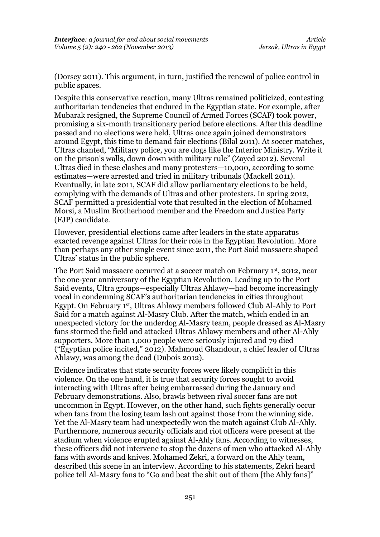(Dorsey 2011). This argument, in turn, justified the renewal of police control in public spaces.

Despite this conservative reaction, many Ultras remained politicized, contesting authoritarian tendencies that endured in the Egyptian state. For example, after Mubarak resigned, the Supreme Council of Armed Forces (SCAF) took power, promising a six-month transitionary period before elections. After this deadline passed and no elections were held, Ultras once again joined demonstrators around Egypt, this time to demand fair elections (Bilal 2011). At soccer matches, Ultras chanted, "Military police, you are dogs like the Interior Ministry. Write it on the prison's walls, down down with military rule" (Zayed 2012). Several Ultras died in these clashes and many protesters—10,000, according to some estimates—were arrested and tried in military tribunals (Mackell 2011). Eventually, in late 2011, SCAF did allow parliamentary elections to be held, complying with the demands of Ultras and other protesters. In spring 2012, SCAF permitted a presidential vote that resulted in the election of Mohamed Morsi, a Muslim Brotherhood member and the Freedom and Justice Party (FJP) candidate.

However, presidential elections came after leaders in the state apparatus exacted revenge against Ultras for their role in the Egyptian Revolution. More than perhaps any other single event since 2011, the Port Said massacre shaped Ultras' status in the public sphere.

The Port Said massacre occurred at a soccer match on February 1st, 2012, near the one-year anniversary of the Egyptian Revolution. Leading up to the Port Said events, Ultra groups—especially Ultras Ahlawy—had become increasingly vocal in condemning SCAF's authoritarian tendencies in cities throughout Egypt. On February 1st, Ultras Ahlawy members followed Club Al-Ahly to Port Said for a match against Al-Masry Club. After the match, which ended in an unexpected victory for the underdog Al-Masry team, people dressed as Al-Masry fans stormed the field and attacked Ultras Ahlawy members and other Al-Ahly supporters. More than 1,000 people were seriously injured and 79 died ("Egyptian police incited," 2012). Mahmoud Ghandour, a chief leader of Ultras Ahlawy, was among the dead (Dubois 2012).

Evidence indicates that state security forces were likely complicit in this violence. On the one hand, it is true that security forces sought to avoid interacting with Ultras after being embarrassed during the January and February demonstrations. Also, brawls between rival soccer fans are not uncommon in Egypt. However, on the other hand, such fights generally occur when fans from the losing team lash out against those from the winning side. Yet the Al-Masry team had unexpectedly won the match against Club Al-Ahly. Furthermore, numerous security officials and riot officers were present at the stadium when violence erupted against Al-Ahly fans. According to witnesses, these officers did not intervene to stop the dozens of men who attacked Al-Ahly fans with swords and knives. Mohamed Zekri, a forward on the Ahly team, described this scene in an interview. According to his statements, Zekri heard police tell Al-Masry fans to "Go and beat the shit out of them [the Ahly fans]"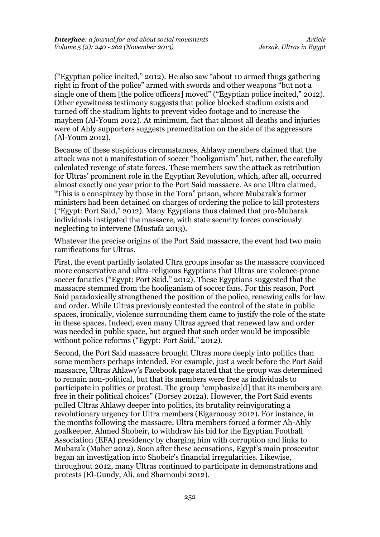("Egyptian police incited," 2012). He also saw "about 10 armed thugs gathering right in front of the police" armed with swords and other weapons "but not a single one of them [the police officers] moved" ("Egyptian police incited," 2012). Other eyewitness testimony suggests that police blocked stadium exists and turned off the stadium lights to prevent video footage and to increase the mayhem (Al-Youm 2012). At minimum, fact that almost all deaths and injuries were of Ahly supporters suggests premeditation on the side of the aggressors (Al-Youm 2012).

Because of these suspicious circumstances, Ahlawy members claimed that the attack was not a manifestation of soccer "hooliganism" but, rather, the carefully calculated revenge of state forces. These members saw the attack as retribution for Ultras' prominent role in the Egyptian Revolution, which, after all, occurred almost exactly one year prior to the Port Said massacre. As one Ultra claimed, "This is a conspiracy by those in the Tora" prison, where Mubarak's former ministers had been detained on charges of ordering the police to kill protesters ("Egypt: Port Said," 2012). Many Egyptians thus claimed that pro-Mubarak individuals instigated the massacre, with state security forces consciously neglecting to intervene (Mustafa 2013).

Whatever the precise origins of the Port Said massacre, the event had two main ramifications for Ultras.

First, the event partially isolated Ultra groups insofar as the massacre convinced more conservative and ultra-religious Egyptians that Ultras are violence-prone soccer fanatics ("Egypt: Port Said," 2012). These Egyptians suggested that the massacre stemmed from the hooliganism of soccer fans. For this reason, Port Said paradoxically strengthened the position of the police, renewing calls for law and order. While Ultras previously contested the control of the state in public spaces, ironically, violence surrounding them came to justify the role of the state in these spaces. Indeed, even many Ultras agreed that renewed law and order was needed in public space, but argued that such order would be impossible without police reforms ("Egypt: Port Said," 2012).

Second, the Port Said massacre brought Ultras more deeply into politics than some members perhaps intended. For example, just a week before the Port Said massacre, Ultras Ahlawy's Facebook page stated that the group was determined to remain non-political, but that its members were free as individuals to participate in politics or protest. The group "emphasize[d] that its members are free in their political choices" (Dorsey 2012a). However, the Port Said events pulled Ultras Ahlawy deeper into politics, its brutality reinvigorating a revolutionary urgency for Ultra members (Elgarnousy 2012). For instance, in the months following the massacre, Ultra members forced a former Ah-Ahly goalkeeper, Ahmed Shobeir, to withdraw his bid for the Egyptian Football Association (EFA) presidency by charging him with corruption and links to Mubarak (Maher 2012). Soon after these accusations, Egypt's main prosecutor began an investigation into Shobeir's financial irregularities. Likewise, throughout 2012, many Ultras continued to participate in demonstrations and protests (El-Gundy, Ali, and Sharnoubi 2012).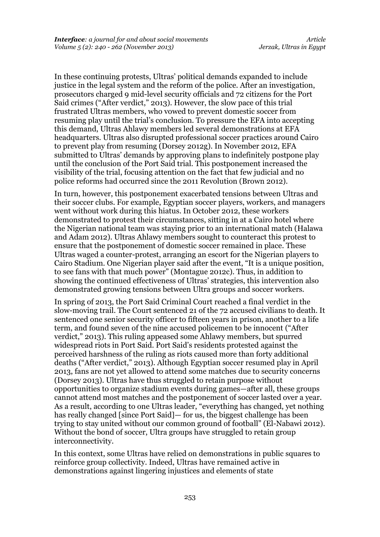In these continuing protests, Ultras' political demands expanded to include justice in the legal system and the reform of the police. After an investigation, prosecutors charged 9 mid-level security officials and 72 citizens for the Port Said crimes ("After verdict," 2013). However, the slow pace of this trial frustrated Ultras members, who vowed to prevent domestic soccer from resuming play until the trial's conclusion. To pressure the EFA into accepting this demand, Ultras Ahlawy members led several demonstrations at EFA headquarters. Ultras also disrupted professional soccer practices around Cairo to prevent play from resuming (Dorsey 2012g). In November 2012, EFA submitted to Ultras' demands by approving plans to indefinitely postpone play until the conclusion of the Port Said trial. This postponement increased the visibility of the trial, focusing attention on the fact that few judicial and no police reforms had occurred since the 2011 Revolution (Brown 2012).

In turn, however, this postponement exacerbated tensions between Ultras and their soccer clubs. For example, Egyptian soccer players, workers, and managers went without work during this hiatus. In October 2012, these workers demonstrated to protest their circumstances, sitting in at a Cairo hotel where the Nigerian national team was staying prior to an international match (Halawa and Adam 2012). Ultras Ahlawy members sought to counteract this protest to ensure that the postponement of domestic soccer remained in place. These Ultras waged a counter-protest, arranging an escort for the Nigerian players to Cairo Stadium. One Nigerian player said after the event, "It is a unique position, to see fans with that much power" (Montague 2012c). Thus, in addition to showing the continued effectiveness of Ultras' strategies, this intervention also demonstrated growing tensions between Ultra groups and soccer workers.

In spring of 2013, the Port Said Criminal Court reached a final verdict in the slow-moving trail. The Court sentenced 21 of the 72 accused civilians to death. It sentenced one senior security officer to fifteen years in prison, another to a life term, and found seven of the nine accused policemen to be innocent ("After verdict," 2013). This ruling appeased some Ahlawy members, but spurred widespread riots in Port Said. Port Said's residents protested against the perceived harshness of the ruling as riots caused more than forty additional deaths ("After verdict," 2013). Although Egyptian soccer resumed play in April 2013, fans are not yet allowed to attend some matches due to security concerns (Dorsey 2013). Ultras have thus struggled to retain purpose without opportunities to organize stadium events during games—after all, these groups cannot attend most matches and the postponement of soccer lasted over a year. As a result, according to one Ultras leader, "everything has changed, yet nothing has really changed [since Port Said]— for us, the biggest challenge has been trying to stay united without our common ground of football" (El-Nabawi 2012). Without the bond of soccer, Ultra groups have struggled to retain group interconnectivity.

In this context, some Ultras have relied on demonstrations in public squares to reinforce group collectivity. Indeed, Ultras have remained active in demonstrations against lingering injustices and elements of state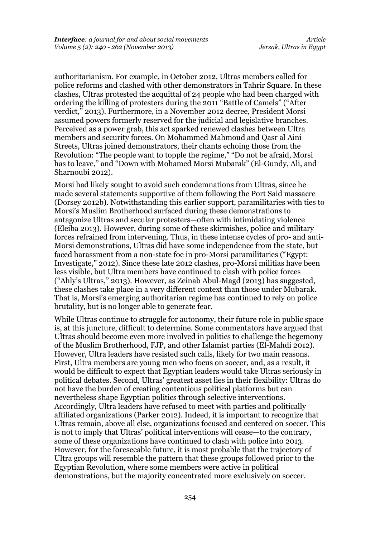authoritarianism. For example, in October 2012, Ultras members called for police reforms and clashed with other demonstrators in Tahrir Square. In these clashes, Ultras protested the acquittal of 24 people who had been charged with ordering the killing of protesters during the 2011 "Battle of Camels" ("After verdict," 2013). Furthermore, in a November 2012 decree, President Morsi assumed powers formerly reserved for the judicial and legislative branches. Perceived as a power grab, this act sparked renewed clashes between Ultra members and security forces. On Mohammed Mahmoud and Qasr al Aini Streets, Ultras joined demonstrators, their chants echoing those from the Revolution: "The people want to topple the regime," "Do not be afraid, Morsi has to leave," and "Down with Mohamed Morsi Mubarak" (El-Gundy, Ali, and Sharnoubi 2012).

Morsi had likely sought to avoid such condemnations from Ultras, since he made several statements supportive of them following the Port Said massacre (Dorsey 2012b). Notwithstanding this earlier support, paramilitaries with ties to Morsi's Muslim Brotherhood surfaced during these demonstrations to antagonize Ultras and secular protesters—often with intimidating violence (Eleiba 2013). However, during some of these skirmishes, police and military forces refrained from intervening. Thus, in these intense cycles of pro- and anti-Morsi demonstrations, Ultras did have some independence from the state, but faced harassment from a non-state foe in pro-Morsi paramilitaries ("Egypt: Investigate," 2012). Since these late 2012 clashes, pro-Morsi militias have been less visible, but Ultra members have continued to clash with police forces ("Ahly's Ultras," 2013). However, as Zeinab Abul-Magd (2013) has suggested, these clashes take place in a very different context than those under Mubarak. That is, Morsi's emerging authoritarian regime has continued to rely on police brutality, but is no longer able to generate fear.

While Ultras continue to struggle for autonomy, their future role in public space is, at this juncture, difficult to determine. Some commentators have argued that Ultras should become even more involved in politics to challenge the hegemony of the Muslim Brotherhood, FJP, and other Islamist parties (El-Mahdi 2012). However, Ultra leaders have resisted such calls, likely for two main reasons. First, Ultra members are young men who focus on soccer, and, as a result, it would be difficult to expect that Egyptian leaders would take Ultras seriously in political debates. Second, Ultras' greatest asset lies in their flexibility: Ultras do not have the burden of creating contentious political platforms but can nevertheless shape Egyptian politics through selective interventions. Accordingly, Ultra leaders have refused to meet with parties and politically affiliated organizations (Parker 2012). Indeed, it is important to recognize that Ultras remain, above all else, organizations focused and centered on soccer. This is not to imply that Ultras' political interventions will cease—to the contrary, some of these organizations have continued to clash with police into 2013. However, for the foreseeable future, it is most probable that the trajectory of Ultra groups will resemble the pattern that these groups followed prior to the Egyptian Revolution, where some members were active in political demonstrations, but the majority concentrated more exclusively on soccer.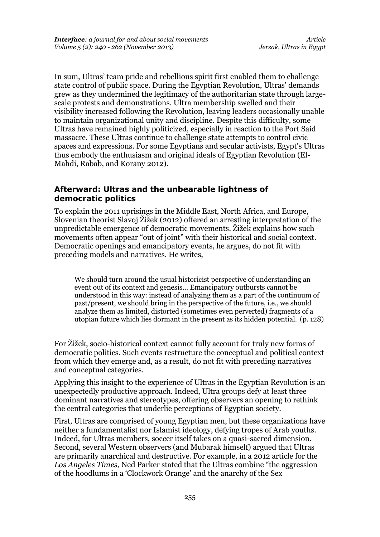In sum, Ultras' team pride and rebellious spirit first enabled them to challenge state control of public space. During the Egyptian Revolution, Ultras' demands grew as they undermined the legitimacy of the authoritarian state through largescale protests and demonstrations. Ultra membership swelled and their visibility increased following the Revolution, leaving leaders occasionally unable to maintain organizational unity and discipline. Despite this difficulty, some Ultras have remained highly politicized, especially in reaction to the Port Said massacre. These Ultras continue to challenge state attempts to control civic spaces and expressions. For some Egyptians and secular activists, Egypt's Ultras thus embody the enthusiasm and original ideals of Egyptian Revolution (El-Mahdi, Rabab, and Korany 2012).

#### **Afterward: Ultras and the unbearable lightness of democratic politics**

To explain the 2011 uprisings in the Middle East, North Africa, and Europe, Slovenian theorist Slavoj Žižek (2012) offered an arresting interpretation of the unpredictable emergence of democratic movements. Žižek explains how such movements often appear "out of joint" with their historical and social context. Democratic openings and emancipatory events, he argues, do not fit with preceding models and narratives. He writes,

We should turn around the usual historicist perspective of understanding an event out of its context and genesis… Emancipatory outbursts cannot be understood in this way: instead of analyzing them as a part of the continuum of past/present, we should bring in the perspective of the future, i.e., we should analyze them as limited, distorted (sometimes even perverted) fragments of a utopian future which lies dormant in the present as its hidden potential. (p. 128)

For Žižek, socio-historical context cannot fully account for truly new forms of democratic politics. Such events restructure the conceptual and political context from which they emerge and, as a result, do not fit with preceding narratives and conceptual categories.

Applying this insight to the experience of Ultras in the Egyptian Revolution is an unexpectedly productive approach. Indeed, Ultra groups defy at least three dominant narratives and stereotypes, offering observers an opening to rethink the central categories that underlie perceptions of Egyptian society.

First, Ultras are comprised of young Egyptian men, but these organizations have neither a fundamentalist nor Islamist ideology, defying tropes of Arab youths. Indeed, for Ultras members, soccer itself takes on a quasi-sacred dimension. Second, several Western observers (and Mubarak himself) argued that Ultras are primarily anarchical and destructive. For example, in a 2012 article for the *Los Angeles Times*, Ned Parker stated that the Ultras combine "the aggression of the hoodlums in a 'Clockwork Orange' and the anarchy of the Sex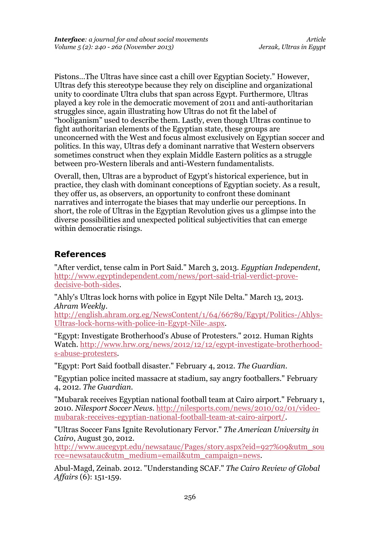Pistons…The Ultras have since cast a chill over Egyptian Society." However, Ultras defy this stereotype because they rely on discipline and organizational unity to coordinate Ultra clubs that span across Egypt. Furthermore, Ultras played a key role in the democratic movement of 2011 and anti-authoritarian struggles since, again illustrating how Ultras do not fit the label of "hooliganism" used to describe them. Lastly, even though Ultras continue to fight authoritarian elements of the Egyptian state, these groups are unconcerned with the West and focus almost exclusively on Egyptian soccer and politics. In this way, Ultras defy a dominant narrative that Western observers sometimes construct when they explain Middle Eastern politics as a struggle between pro-Western liberals and anti-Western fundamentalists.

Overall, then, Ultras are a byproduct of Egypt's historical experience, but in practice, they clash with dominant conceptions of Egyptian society. As a result, they offer us, as observers, an opportunity to confront these dominant narratives and interrogate the biases that may underlie our perceptions. In short, the role of Ultras in the Egyptian Revolution gives us a glimpse into the diverse possibilities and unexpected political subjectivities that can emerge within democratic risings.

# **References**

"After verdict, tense calm in Port Said." March 3, 2013. *Egyptian Independent*, [http://www.egyptindependent.com/news/port-said-trial-verdict-prove](http://www.egyptindependent.com/news/port-said-trial-verdict-prove-decisive-both-sides)[decisive-both-sides.](http://www.egyptindependent.com/news/port-said-trial-verdict-prove-decisive-both-sides)

"Ahly's Ultras lock horns with police in Egypt Nile Delta." March 13, 2013. *Ahram Weekly*.

[http://english.ahram.org.eg/NewsContent/1/64/66789/Egypt/Politics-/Ahlys-](http://english.ahram.org.eg/NewsContent/1/64/66789/Egypt/Politics-/Ahlys-Ultras-lock-horns-with-police-in-Egypt-Nile-.aspx)[Ultras-lock-horns-with-police-in-Egypt-Nile-.aspx.](http://english.ahram.org.eg/NewsContent/1/64/66789/Egypt/Politics-/Ahlys-Ultras-lock-horns-with-police-in-Egypt-Nile-.aspx)

"Egypt: Investigate Brotherhood's Abuse of Protesters." 2012. Human Rights Watch. [http://www.hrw.org/news/2012/12/12/egypt-investigate-brotherhood](http://www.hrw.org/news/2012/12/12/egypt-investigate-brotherhood-s-abuse-protesters)[s-abuse-protesters.](http://www.hrw.org/news/2012/12/12/egypt-investigate-brotherhood-s-abuse-protesters)

"Egypt: Port Said football disaster." February 4, 2012. *The Guardian*.

"Egyptian police incited massacre at stadium, say angry footballers." February 4, 2012. *The Guardian*.

"Mubarak receives Egyptian national football team at Cairo airport." February 1, 2010. *Nilesport Soccer News*. [http://nilesports.com/news/2010/02/01/video](http://nilesports.com/news/2010/02/01/video-mubarak-receives-egyptian-national-football-team-at-cairo-airport/)[mubarak-receives-egyptian-national-football-team-at-cairo-airport/.](http://nilesports.com/news/2010/02/01/video-mubarak-receives-egyptian-national-football-team-at-cairo-airport/)

"Ultras Soccer Fans Ignite Revolutionary Fervor." *The American University in Cairo*, August 30, 2012.

[http://www.aucegypt.edu/newsatauc/Pages/story.aspx?eid=927%09&utm\\_sou](http://www.aucegypt.edu/newsatauc/Pages/story.aspx?eid=927%09&utm_source=newsatauc&utm_medium=email&utm_campaign=news) [rce=newsatauc&utm\\_medium=email&utm\\_campaign=news.](http://www.aucegypt.edu/newsatauc/Pages/story.aspx?eid=927%09&utm_source=newsatauc&utm_medium=email&utm_campaign=news)

Abul-Magd, Zeinab. 2012. "Understanding SCAF." *The Cairo Review of Global Affairs* (6): 151-159.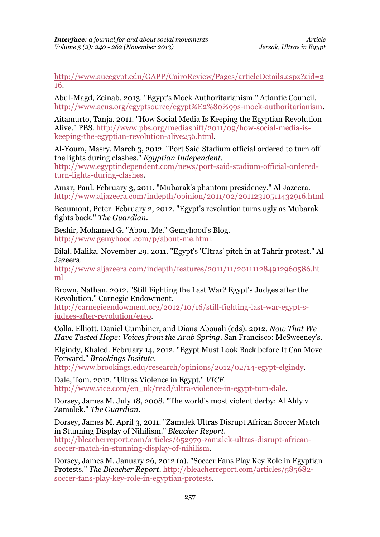[http://www.aucegypt.edu/GAPP/CairoReview/Pages/articleDetails.aspx?aid=2](http://www.aucegypt.edu/GAPP/CairoReview/Pages/articleDetails.aspx?aid=216) [16.](http://www.aucegypt.edu/GAPP/CairoReview/Pages/articleDetails.aspx?aid=216)

Abul-Magd, Zeinab. 2013. "Egypt's Mock Authoritarianism." Atlantic Council. [http://www.acus.org/egyptsource/egypt%E2%80%99s-mock-authoritarianism.](http://www.acus.org/egyptsource/egypt%E2%80%99s-mock-authoritarianism)

Aitamurto, Tanja. 2011. "How Social Media Is Keeping the Egyptian Revolution Alive." PBS. [http://www.pbs.org/mediashift/2011/09/how-social-media-is](http://www.pbs.org/mediashift/2011/09/how-social-media-is-keeping-the-egyptian-revolution-alive256.html)[keeping-the-egyptian-revolution-alive256.html.](http://www.pbs.org/mediashift/2011/09/how-social-media-is-keeping-the-egyptian-revolution-alive256.html)

Al-Youm, Masry. March 3, 2012. "Port Said Stadium official ordered to turn off the lights during clashes." *Egyptian Independent*.

[http://www.egyptindependent.com/news/port-said-stadium-official-ordered](http://www.egyptindependent.com/news/port-said-stadium-official-ordered-turn-lights-during-clashes)[turn-lights-during-clashes.](http://www.egyptindependent.com/news/port-said-stadium-official-ordered-turn-lights-during-clashes)

Amar, Paul. February 3, 2011. "Mubarak's phantom presidency." Al Jazeera. <http://www.aljazeera.com/indepth/opinion/2011/02/20112310511432916.html>

Beaumont, Peter. February 2, 2012. "Egypt's revolution turns ugly as Mubarak fights back." *The Guardian*.

Beshir, Mohamed G. "About Me." Gemyhood's Blog. [http://www.gemyhood.com/p/about-me.html.](http://www.gemyhood.com/p/about-me.html)

Bilal, Malika. November 29, 2011. "Egypt's 'Ultras' pitch in at Tahrir protest." Al Jazeera.

[http://www.aljazeera.com/indepth/features/2011/11/201111284912960586.ht](http://www.aljazeera.com/indepth/features/2011/11/201111284912960586.html) [ml](http://www.aljazeera.com/indepth/features/2011/11/201111284912960586.html)

Brown, Nathan. 2012. "Still Fighting the Last War? Egypt's Judges after the Revolution." Carnegie Endowment.

[http://carnegieendowment.org/2012/10/16/still-fighting-last-war-egypt-s](http://carnegieendowment.org/2012/10/16/still-fighting-last-war-egypt-s-judges-after-revolution/e1eo)[judges-after-revolution/e1eo.](http://carnegieendowment.org/2012/10/16/still-fighting-last-war-egypt-s-judges-after-revolution/e1eo)

Colla, Elliott, Daniel Gumbiner, and Diana Abouali (eds). 2012. *Now That We Have Tasted Hope: Voices from the Arab Spring*. San Francisco: McSweeney's.

Elgindy, Khaled. February 14, 2012. "Egypt Must Look Back before It Can Move Forward." *Brookings Insitute*.

[http://www.brookings.edu/research/opinions/2012/02/14-egypt-elgindy.](http://www.brookings.edu/research/opinions/2012/02/14-egypt-elgindy)

Dale, Tom. 2012. "Ultras Violence in Egypt." *VICE*. [http://www.vice.com/en\\_uk/read/ultra-violence-in-egypt-tom-dale.](http://www.vice.com/en_uk/read/ultra-violence-in-egypt-tom-dale)

Dorsey, James M. July 18, 2008. "The world's most violent derby: Al Ahly v Zamalek." *The Guardian*.

Dorsey, James M. April 3, 2011. "Zamalek Ultras Disrupt African Soccer Match in Stunning Display of Nihilism." *Bleacher Report*. [http://bleacherreport.com/articles/652979-zamalek-ultras-disrupt-african](http://bleacherreport.com/articles/652979-zamalek-ultras-disrupt-african-soccer-match-in-stunning-display-of-nihilism)[soccer-match-in-stunning-display-of-nihilism.](http://bleacherreport.com/articles/652979-zamalek-ultras-disrupt-african-soccer-match-in-stunning-display-of-nihilism)

Dorsey, James M. January 26, 2012 (a). "Soccer Fans Play Key Role in Egyptian Protests." *The Bleacher Report*. [http://bleacherreport.com/articles/585682](http://bleacherreport.com/articles/585682-soccer-fans-play-key-role-in-egyptian-protests) [soccer-fans-play-key-role-in-egyptian-protests.](http://bleacherreport.com/articles/585682-soccer-fans-play-key-role-in-egyptian-protests)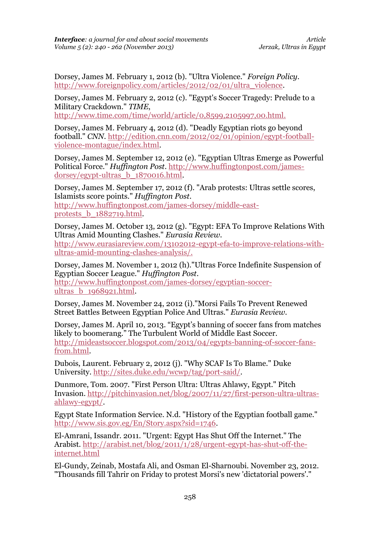Dorsey, James M. February 1, 2012 (b). "Ultra Violence." *Foreign Policy*. [http://www.foreignpolicy.com/articles/2012/02/01/ultra\\_violence.](http://www.foreignpolicy.com/articles/2012/02/01/ultra_violence)

Dorsey, James M. February 2, 2012 (c). "Egypt's Soccer Tragedy: Prelude to a Military Crackdown." *TIME*,

[http://www.time.com/time/world/article/0,8599,2105997,00.html.](http://www.time.com/time/world/article/0,8599,2105997,00.html)

Dorsey, James M. February 4, 2012 (d). "Deadly Egyptian riots go beyond football." *CNN*. [http://edition.cnn.com/2012/02/01/opinion/egypt-football](http://edition.cnn.com/2012/02/01/opinion/egypt-football-violence-montague/index.html)[violence-montague/index.html.](http://edition.cnn.com/2012/02/01/opinion/egypt-football-violence-montague/index.html)

Dorsey, James M. September 12, 2012 (e). "Egyptian Ultras Emerge as Powerful Political Force." *Huffington Post*. [http://www.huffingtonpost.com/james](http://www.huffingtonpost.com/james-dorsey/egypt-ultras_b_1870016.html)[dorsey/egypt-ultras\\_b\\_1870016.html.](http://www.huffingtonpost.com/james-dorsey/egypt-ultras_b_1870016.html)

Dorsey, James M. September 17, 2012 (f). "Arab protests: Ultras settle scores, Islamists score points." *Huffington Post*. [http://www.huffingtonpost.com/james-dorsey/middle-east](http://www.huffingtonpost.com/james-dorsey/middle-east-protests_b_1882719.html)[protests\\_b\\_1882719.html.](http://www.huffingtonpost.com/james-dorsey/middle-east-protests_b_1882719.html)

Dorsey, James M. October 13, 2012 (g). "Egypt: EFA To Improve Relations With Ultras Amid Mounting Clashes." *Eurasia Review*. [http://www.eurasiareview.com/13102012-egypt-efa-to-improve-relations-with](http://www.eurasiareview.com/13102012-egypt-efa-to-improve-relations-with-ultras-amid-mounting-clashes-analysis/)[ultras-amid-mounting-clashes-analysis/.](http://www.eurasiareview.com/13102012-egypt-efa-to-improve-relations-with-ultras-amid-mounting-clashes-analysis/)

Dorsey, James M. November 1, 2012 (h)."Ultras Force Indefinite Suspension of Egyptian Soccer League." *Huffington Post*. [http://www.huffingtonpost.com/james-dorsey/egyptian-soccer](http://www.huffingtonpost.com/james-dorsey/egyptian-soccer-ultras_b_1968921.html)[ultras\\_b\\_1968921.html.](http://www.huffingtonpost.com/james-dorsey/egyptian-soccer-ultras_b_1968921.html)

Dorsey, James M. November 24, 2012 (i)."Morsi Fails To Prevent Renewed Street Battles Between Egyptian Police And Ultras." *Eurasia Review*.

Dorsey, James M. April 10, 2013. "Egypt's banning of soccer fans from matches likely to boomerang." The Turbulent World of Middle East Soccer. [http://mideastsoccer.blogspot.com/2013/04/egypts-banning-of-soccer-fans](http://mideastsoccer.blogspot.com/2013/04/egypts-banning-of-soccer-fans-from.html)[from.html.](http://mideastsoccer.blogspot.com/2013/04/egypts-banning-of-soccer-fans-from.html)

Dubois, Laurent. February 2, 2012 (j). "Why SCAF Is To Blame." Duke University. [http://sites.duke.edu/wcwp/tag/port-said/.](http://sites.duke.edu/wcwp/tag/port-said/)

Dunmore, Tom. 2007. "First Person Ultra: Ultras Ahlawy, Egypt." Pitch Invasion. [http://pitchinvasion.net/blog/2007/11/27/first-person-ultra-ultras](http://pitchinvasion.net/blog/2007/11/27/first-person-ultra-ultras-ahlawy-egypt/)[ahlawy-egypt/.](http://pitchinvasion.net/blog/2007/11/27/first-person-ultra-ultras-ahlawy-egypt/)

Egypt State Information Service. N.d. "History of the Egyptian football game." [http://www.sis.gov.eg/En/Story.aspx?sid=1746.](http://www.sis.gov.eg/En/Story.aspx?sid=1746)

El-Amrani, Issandr. 2011. "Urgent: Egypt Has Shut Off the Internet." The Arabist. [http://arabist.net/blog/2011/1/28/urgent-egypt-has-shut-off-the](http://arabist.net/blog/2011/1/28/urgent-egypt-has-shut-off-the-internet.html)[internet.html](http://arabist.net/blog/2011/1/28/urgent-egypt-has-shut-off-the-internet.html)

El-Gundy, Zeinab, Mostafa Ali, and Osman El-Sharnoubi. November 23, 2012. "Thousands fill Tahrir on Friday to protest Morsi's new 'dictatorial powers'."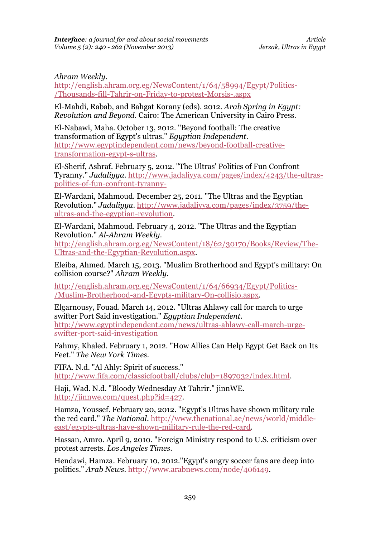### *Ahram Weekly*.

[http://english.ahram.org.eg/NewsContent/1/64/58994/Egypt/Politics-](http://english.ahram.org.eg/NewsContent/1/64/58994/Egypt/Politics-/Thousands-fill-Tahrir-on-Friday-to-protest-Morsis-.aspx) [/Thousands-fill-Tahrir-on-Friday-to-protest-Morsis-.aspx](http://english.ahram.org.eg/NewsContent/1/64/58994/Egypt/Politics-/Thousands-fill-Tahrir-on-Friday-to-protest-Morsis-.aspx)

El-Mahdi, Rabab, and Bahgat Korany (eds). 2012. *Arab Spring in Egypt: Revolution and Beyond*. Cairo: The American University in Cairo Press.

El-Nabawi, Maha. October 13, 2012. "Beyond football: The creative transformation of Egypt's ultras." *Egyptian Independent*. [http://www.egyptindependent.com/news/beyond-football-creative](http://www.egyptindependent.com/news/beyond-football-creative-transformation-egypt-s-ultras)[transformation-egypt-s-ultras.](http://www.egyptindependent.com/news/beyond-football-creative-transformation-egypt-s-ultras)

El-Sherif, Ashraf. February 5, 2012. "The Ultras' Politics of Fun Confront Tyranny." *Jadaliyya*. [http://www.jadaliyya.com/pages/index/4243/the-ultras](http://www.jadaliyya.com/pages/index/4243/the-ultras-politics-of-fun-confront-tyranny-)[politics-of-fun-confront-tyranny-](http://www.jadaliyya.com/pages/index/4243/the-ultras-politics-of-fun-confront-tyranny-)

El-Wardani, Mahmoud. December 25, 2011. "The Ultras and the Egyptian Revolution." *Jadaliyya*. [http://www.jadaliyya.com/pages/index/3759/the](http://www.jadaliyya.com/pages/index/3759/the-ultras-and-the-egyptian-revolution)[ultras-and-the-egyptian-revolution.](http://www.jadaliyya.com/pages/index/3759/the-ultras-and-the-egyptian-revolution)

El-Wardani, Mahmoud. February 4, 2012. "The Ultras and the Egyptian Revolution." *Al-Ahram Weekly*.

[http://english.ahram.org.eg/NewsContent/18/62/30170/Books/Review/The-](http://english.ahram.org.eg/NewsContent/18/62/30170/Books/Review/The-Ultras-and-the-Egyptian-Revolution.aspx)[Ultras-and-the-Egyptian-Revolution.aspx.](http://english.ahram.org.eg/NewsContent/18/62/30170/Books/Review/The-Ultras-and-the-Egyptian-Revolution.aspx)

Eleiba, Ahmed. March 15, 2013. "Muslim Brotherhood and Egypt's military: On collision course?" *Ahram Weekly.* 

[http://english.ahram.org.eg/NewsContent/1/64/66934/Egypt/Politics-](http://english.ahram.org.eg/NewsContent/1/64/66934/Egypt/Politics-/Muslim-Brotherhood-and-Egypts-military-On-collisio.aspx) [/Muslim-Brotherhood-and-Egypts-military-On-collisio.aspx.](http://english.ahram.org.eg/NewsContent/1/64/66934/Egypt/Politics-/Muslim-Brotherhood-and-Egypts-military-On-collisio.aspx)

Elgarnousy, Fouad. March 14, 2012. "Ultras Ahlawy call for march to urge swifter Port Said investigation." *Egyptian Independent*. [http://www.egyptindependent.com/news/ultras-ahlawy-call-march-urge](http://www.egyptindependent.com/news/ultras-ahlawy-call-march-urge-swifter-port-said-investigation)[swifter-port-said-investigation](http://www.egyptindependent.com/news/ultras-ahlawy-call-march-urge-swifter-port-said-investigation)

Fahmy, Khaled. February 1, 2012. "How Allies Can Help Egypt Get Back on Its Feet." *The New York Times*.

FIFA. N.d. "Al Ahly: Spirit of success." [http://www.fifa.com/classicfootball/clubs/club=1897032/index.html.](http://www.fifa.com/classicfootball/clubs/club=1897032/index.html)

Haji, Wad. N.d. "Bloody Wednesday At Tahrir." jinnWE. [http://jinnwe.com/quest.php?id=427.](http://jinnwe.com/quest.php?id=427)

Hamza, Youssef. February 20, 2012. "Egypt's Ultras have shown military rule the red card." *The National*. [http://www.thenational.ae/news/world/middle](http://www.thenational.ae/news/world/middle-east/egypts-ultras-have-shown-military-rule-the-red-card)[east/egypts-ultras-have-shown-military-rule-the-red-card.](http://www.thenational.ae/news/world/middle-east/egypts-ultras-have-shown-military-rule-the-red-card)

Hassan, Amro. April 9, 2010. "Foreign Ministry respond to U.S. criticism over protest arrests. *Los Angeles Times*.

Hendawi, Hamza. February 10, 2012."Egypt's angry soccer fans are deep into politics." *Arab News*. [http://www.arabnews.com/node/406149.](http://www.arabnews.com/node/406149)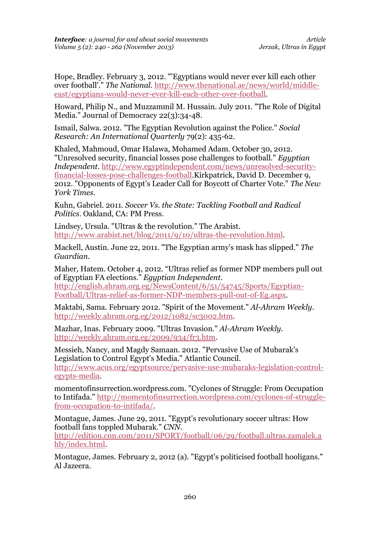Hope, Bradley. February 3, 2012. "'Egyptians would never ever kill each other over football'." *The National*. [http://www.thenational.ae/news/world/middle](http://www.thenational.ae/news/world/middle-east/egyptians-would-never-ever-kill-each-other-over-football)[east/egyptians-would-never-ever-kill-each-other-over-football.](http://www.thenational.ae/news/world/middle-east/egyptians-would-never-ever-kill-each-other-over-football)

Howard, Philip N., and Muzzammil M. Hussain. July 2011. "The Role of Digital Media." Journal of Democracy 22(3):34-48.

Ismail, Salwa. 2012. "The Egyptian Revolution against the Police." *Social Research: An International Quarterly* 79(2): 435-62.

Khaled, Mahmoud, Omar Halawa, Mohamed Adam. October 30, 2012. "Unresolved security, financial losses pose challenges to football." *Egyptian Independent*. [http://www.egyptindependent.com/news/unresolved-security](http://www.egyptindependent.com/news/unresolved-security-financial-losses-pose-challenges-football)[financial-losses-pose-challenges-football.](http://www.egyptindependent.com/news/unresolved-security-financial-losses-pose-challenges-football)Kirkpatrick, David D. December 9, 2012. "Opponents of Egypt's Leader Call for Boycott of Charter Vote." *The New York Times*.

Kuhn, Gabriel. 2011. *Soccer Vs. the State: Tackling Football and Radical Politics*. Oakland, CA: PM Press.

Lindsey, Ursula. "Ultras & the revolution." The Arabist. [http://www.arabist.net/blog/2011/9/10/ultras-the-revolution.html.](http://www.arabist.net/blog/2011/9/10/ultras-the-revolution.html)

Mackell, Austin. June 22, 2011. "The Egyptian army's mask has slipped." *The Guardian*.

Maher, Hatem. October 4, 2012. "Ultras relief as former NDP members pull out of Egyptian FA elections." *Egyptian Independent.* 

[http://english.ahram.org.eg/NewsContent/6/51/54745/Sports/Egyptian-](http://english.ahram.org.eg/NewsContent/6/51/54745/Sports/Egyptian-Football/Ultras-relief-as-former-NDP-members-pull-out-of-Eg.aspx)[Football/Ultras-relief-as-former-NDP-members-pull-out-of-Eg.aspx.](http://english.ahram.org.eg/NewsContent/6/51/54745/Sports/Egyptian-Football/Ultras-relief-as-former-NDP-members-pull-out-of-Eg.aspx)

Maktabi, Sama. February 2012. "Spirit of the Movement." *Al-Ahram Weekly*. [http://weekly.ahram.org.eg/2012/1082/sc3002.htm.](http://weekly.ahram.org.eg/2012/1082/sc3002.htm)

Mazhar, Inas. February 2009. "Ultras Invasion." *Al-Ahram Weekly*. [http://weekly.ahram.org.eg/2009/934/fr3.htm.](http://weekly.ahram.org.eg/2009/934/fr3.htm)

Messieh, Nancy, and Magdy Samaan. 2012. "Pervasive Use of Mubarak's Legislation to Control Egypt's Media." Atlantic Council. [http://www.acus.org/egyptsource/pervasive-use-mubaraks-legislation-control](http://www.acus.org/egyptsource/pervasive-use-mubaraks-legislation-control-egypts-media)[egypts-media.](http://www.acus.org/egyptsource/pervasive-use-mubaraks-legislation-control-egypts-media)

momentofinsurrection.wordpress.com. "Cyclones of Struggle: From Occupation to Intifada." [http://momentofinsurrection.wordpress.com/cyclones-of-struggle](http://momentofinsurrection.wordpress.com/cyclones-of-struggle-from-occupation-to-intifada/)[from-occupation-to-intifada/.](http://momentofinsurrection.wordpress.com/cyclones-of-struggle-from-occupation-to-intifada/)

Montague, James. June 29, 2011. "Egypt's revolutionary soccer ultras: How football fans toppled Mubarak." *CNN*.

[http://edition.cnn.com/2011/SPORT/football/06/29/football.ultras.zamalek.a](http://edition.cnn.com/2011/SPORT/football/06/29/football.ultras.zamalek.ahly/index.html) [hly/index.html.](http://edition.cnn.com/2011/SPORT/football/06/29/football.ultras.zamalek.ahly/index.html)

Montague, James. February 2, 2012 (a). "Egypt's politicised football hooligans." Al Jazeera.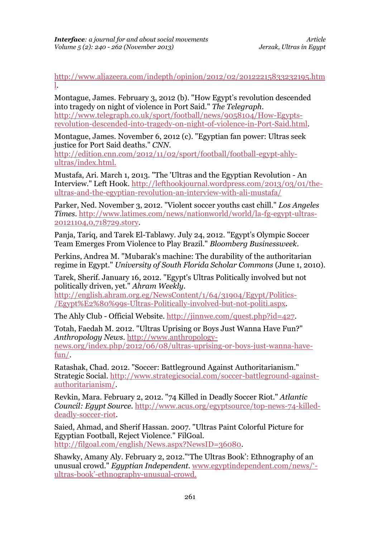[http://www.aljazeera.com/indepth/opinion/2012/02/20122215833232195.htm](http://www.aljazeera.com/indepth/opinion/2012/02/20122215833232195.html) [l.](http://www.aljazeera.com/indepth/opinion/2012/02/20122215833232195.html)

Montague, James. February 3, 2012 (b). "How Egypt's revolution descended into tragedy on night of violence in Port Said." *The Telegraph*. [http://www.telegraph.co.uk/sport/football/news/9058104/How-Egypts](http://www.telegraph.co.uk/sport/football/news/9058104/How-Egypts-revolution-descended-into-tragedy-on-night-of-violence-in-Port-Said.html)[revolution-descended-into-tragedy-on-night-of-violence-in-Port-Said.html.](http://www.telegraph.co.uk/sport/football/news/9058104/How-Egypts-revolution-descended-into-tragedy-on-night-of-violence-in-Port-Said.html)

Montague, James. November 6, 2012 (c). "Egyptian fan power: Ultras seek justice for Port Said deaths." *CNN*.

[http://edition.cnn.com/2012/11/02/sport/football/football-egypt-ahly](http://edition.cnn.com/2012/11/02/sport/football/football-egypt-ahly-ultras/index.html)[ultras/index.html.](http://edition.cnn.com/2012/11/02/sport/football/football-egypt-ahly-ultras/index.html) 

Mustafa, Ari. March 1, 2013. "The 'Ultras and the Egyptian Revolution - An Interview." Left Hook. [http://lefthookjournal.wordpress.com/2013/03/01/the](http://lefthookjournal.wordpress.com/2013/03/01/the-ultras-and-the-egyptian-revolution-an-interview-with-ali-mustafa/)[ultras-and-the-egyptian-revolution-an-interview-with-ali-mustafa/](http://lefthookjournal.wordpress.com/2013/03/01/the-ultras-and-the-egyptian-revolution-an-interview-with-ali-mustafa/)

Parker, Ned. November 3, 2012. "Violent soccer youths cast chill." *Los Angeles Times*. [http://www.latimes.com/news/nationworld/world/la-fg-egypt-ultras-](http://www.latimes.com/news/nationworld/world/la-fg-egypt-ultras-20121104,0,718729.story)[20121104,0,718729.story.](http://www.latimes.com/news/nationworld/world/la-fg-egypt-ultras-20121104,0,718729.story)

Panja, Tariq, and Tarek El-Tablawy. July 24, 2012. "Egypt's Olympic Soccer Team Emerges From Violence to Play Brazil." *Bloomberg Businessweek*.

Perkins, Andrea M. "Mubarak's machine: The durability of the authoritarian regime in Egypt." *University of South Florida Scholar Commons* (June 1, 2010).

Tarek, Sherif. January 16, 2012. "Egypt's Ultras Politically involved but not politically driven, yet." *Ahram Weekly*.

[http://english.ahram.org.eg/NewsContent/1/64/31904/Egypt/Politics-](http://english.ahram.org.eg/NewsContent/1/64/31904/Egypt/Politics-/Egypt%E2%80%99s-Ultras-Politically-involved-but-not-politi.aspx) [/Egypt%E2%80%99s-Ultras-Politically-involved-but-not-politi.aspx.](http://english.ahram.org.eg/NewsContent/1/64/31904/Egypt/Politics-/Egypt%E2%80%99s-Ultras-Politically-involved-but-not-politi.aspx)

The Ahly Club - Official Website. [http://jinnwe.com/quest.php?id=427.](http://jinnwe.com/quest.php?id=427)

Totah, Faedah M. 2012. "Ultras Uprising or Boys Just Wanna Have Fun?" *Anthropology News*. [http://www.anthropology](http://www.anthropology-news.org/index.php/2012/06/08/ultras-uprising-or-boys-just-wanna-have-fun/)[news.org/index.php/2012/06/08/ultras-uprising-or-boys-just-wanna-have](http://www.anthropology-news.org/index.php/2012/06/08/ultras-uprising-or-boys-just-wanna-have-fun/)[fun/.](http://www.anthropology-news.org/index.php/2012/06/08/ultras-uprising-or-boys-just-wanna-have-fun/)

Ratashak, Chad. 2012. "Soccer: Battleground Against Authoritarianism." Strategic Social. [http://www.strategicsocial.com/soccer-battleground-against](http://www.strategicsocial.com/soccer-battleground-against-authoritarianism/)[authoritarianism/.](http://www.strategicsocial.com/soccer-battleground-against-authoritarianism/)

Revkin, Mara. February 2, 2012. "74 Killed in Deadly Soccer Riot." *Atlantic Council: Egypt Source*. [http://www.acus.org/egyptsource/top-news-74-killed](http://www.acus.org/egyptsource/top-news-74-killed-deadly-soccer-riot)[deadly-soccer-riot.](http://www.acus.org/egyptsource/top-news-74-killed-deadly-soccer-riot)

Saied, Ahmad, and Sherif Hassan. 2007. "Ultras Paint Colorful Picture for Egyptian Football, Reject Violence." FilGoal. [http://filgoal.com/english/News.aspx?NewsID=36080.](http://filgoal.com/english/News.aspx?NewsID=36080)

Shawky, Amany Aly. February 2, 2012."'The Ultras Book': Ethnography of an unusual crowd." *Egyptian Independent*. [www.egyptindependent.com/news/'](http://www.egyptindependent.com/news/) ultras-book'[-ethnography-unusual-crowd.](http://www.egyptindependent.com/news/)